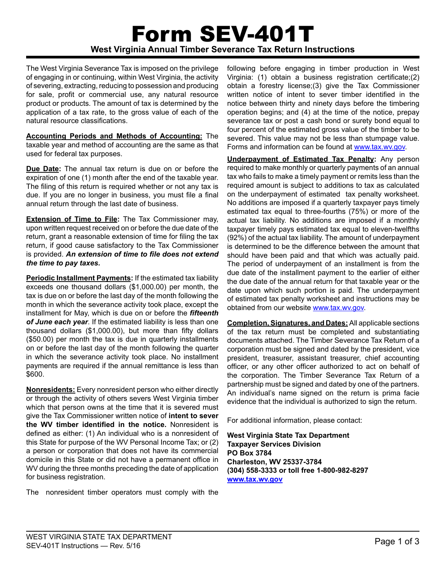# Form SEV-401T **West Virginia Annual Timber Severance Tax Return Instructions**

The West Virginia Severance Tax is imposed on the privilege of engaging in or continuing, within West Virginia, the activity of severing, extracting, reducing to possession and producing for sale, profit or commercial use, any natural resource product or products. The amount of tax is determined by the application of a tax rate, to the gross value of each of the natural resource classifications.

**Accounting Periods and Methods of Accounting:** The taxable year and method of accounting are the same as that used for federal tax purposes.

**Due Date:** The annual tax return is due on or before the expiration of one (1) month after the end of the taxable year. The filing of this return is required whether or not any tax is due. If you are no longer in business, you must file a final annual return through the last date of business.

**Extension of Time to File:** The Tax Commissioner may, upon written request received on or before the due date of the return, grant a reasonable extension of time for filing the tax return, if good cause satisfactory to the Tax Commissioner is provided. *An extension of time to file does not extend the time to pay taxes.*

**Periodic Installment Payments:** If the estimated tax liability exceeds one thousand dollars (\$1,000.00) per month, the tax is due on or before the last day of the month following the month in which the severance activity took place, except the installment for May, which is due on or before the *fifteenth of June each year*. If the estimated liability is less than one thousand dollars (\$1,000.00), but more than fifty dollars (\$50.00) per month the tax is due in quarterly installments on or before the last day of the month following the quarter in which the severance activity took place. No installment payments are required if the annual remittance is less than \$600.

**Nonresidents:** Every nonresident person who either directly or through the activity of others severs West Virginia timber which that person owns at the time that it is severed must give the Tax Commissioner written notice of **intent to sever the WV timber identified in the notice.** Nonresident is defined as either: (1) An individual who is a nonresident of this State for purpose of the WV Personal Income Tax; or (2) a person or corporation that does not have its commercial domicile in this State or did not have a permanent office in WV during the three months preceding the date of application for business registration.

The nonresident timber operators must comply with the

following before engaging in timber production in West Virginia: (1) obtain a business registration certificate;(2) obtain a forestry license;(3) give the Tax Commissioner written notice of intent to sever timber identified in the notice between thirty and ninety days before the timbering operation begins; and (4) at the time of the notice, prepay severance tax or post a cash bond or surety bond equal to four percent of the estimated gross value of the timber to be severed. This value may not be less than stumpage value. Forms and information can be found at www.tax.wv.gov.

**Underpayment of Estimated Tax Penalty:** Any person required to make monthly or quarterly payments of an annual tax who fails to make a timely payment or remits less than the required amount is subject to additions to tax as calculated on the underpayment of estimated tax penalty worksheet. No additions are imposed if a quarterly taxpayer pays timely estimated tax equal to three-fourths (75%) or more of the actual tax liability. No additions are imposed if a monthly taxpayer timely pays estimated tax equal to eleven-twelfths (92%) of the actual tax liability. The amount of underpayment is determined to be the difference between the amount that should have been paid and that which was actually paid. The period of underpayment of an installment is from the due date of the installment payment to the earlier of either the due date of the annual return for that taxable year or the date upon which such portion is paid. The underpayment of estimated tax penalty worksheet and instructions may be obtained from our website www.tax.wv.gov.

**Completion, Signatures, and Dates:** All applicable sections of the tax return must be completed and substantiating documents attached. The Timber Severance Tax Return of a corporation must be signed and dated by the president, vice president, treasurer, assistant treasurer, chief accounting officer, or any other officer authorized to act on behalf of the corporation. The Timber Severance Tax Return of a partnership must be signed and dated by one of the partners. An individual's name signed on the return is prima facie evidence that the individual is authorized to sign the return.

For additional information, please contact:

**West Virginia State Tax Department Taxpayer Services Division PO Box 3784 Charleston, WV 25337-3784 (304) 558-3333 or toll free 1-800-982-8297 www.tax.wv.gov**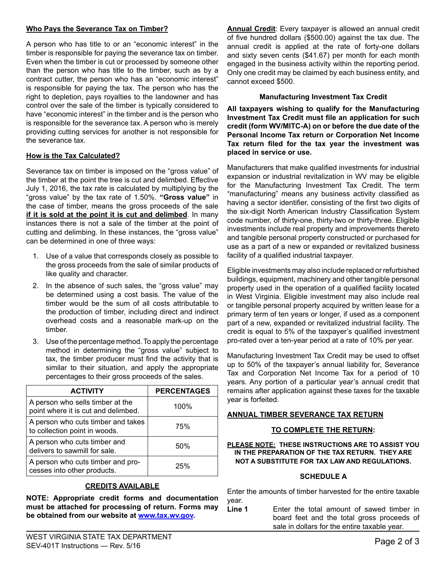## **Who Pays the Severance Tax on Timber?**

A person who has title to or an "economic interest" in the timber is responsible for paying the severance tax on timber. Even when the timber is cut or processed by someone other than the person who has title to the timber, such as by a contract cutter, the person who has an "economic interest" is responsible for paying the tax. The person who has the right to depletion, pays royalties to the landowner and has control over the sale of the timber is typically considered to have "economic interest" in the timber and is the person who is responsible for the severance tax. A person who is merely providing cutting services for another is not responsible for the severance tax.

#### **How is the Tax Calculated?**

Severance tax on timber is imposed on the "gross value" of the timber at the point the tree is cut and delimbed. Effective July 1, 2016, the tax rate is calculated by multiplying by the "gross value" by the tax rate of 1.50%. **"Gross value"** in the case of timber, means the gross proceeds of the sale **if it is sold at the point it is cut and delimbed**. In many instances there is not a sale of the timber at the point of cutting and delimbing. In these instances, the "gross value" can be determined in one of three ways:

- 1. Use of a value that corresponds closely as possible to the gross proceeds from the sale of similar products of like quality and character.
- 2. In the absence of such sales, the "gross value" may be determined using a cost basis. The value of the timber would be the sum of all costs attributable to the production of timber, including direct and indirect overhead costs and a reasonable mark-up on the timber.
- 3. Use of the percentage method. To apply the percentage method in determining the "gross value" subject to tax, the timber producer must find the activity that is similar to their situation, and apply the appropriate percentages to their gross proceeds of the sales.

| <b>ACTIVITY</b>                                                         | <b>PERCENTAGES</b> |
|-------------------------------------------------------------------------|--------------------|
| A person who sells timber at the<br>point where it is cut and delimbed. | 100%               |
| A person who cuts timber and takes<br>to collection point in woods.     | 75%                |
| A person who cuts timber and<br>delivers to sawmill for sale.           | 50%                |
| A person who cuts timber and pro-<br>cesses into other products.        | 25%                |

# **Credits Available**

**NOTE: Appropriate credit forms and documentation must be attached for processing of return. Forms may be obtained from our website at www.tax.wv.gov.**

**Annual Credit**: Every taxpayer is allowed an annual credit of five hundred dollars (\$500.00) against the tax due. The annual credit is applied at the rate of forty-one dollars and sixty seven cents (\$41.67) per month for each month engaged in the business activity within the reporting period. Only one credit may be claimed by each business entity, and cannot exceed \$500.

#### **Manufacturing Investment Tax Credit**

**All taxpayers wishing to qualify for the Manufacturing Investment Tax Credit must file an application for such credit (form WV/MITC-A) on or before the due date of the Personal Income Tax return or Corporation Net Income Tax return filed for the tax year the investment was placed in service or use.**

Manufacturers that make qualified investments for industrial expansion or industrial revitalization in WV may be eligible for the Manufacturing Investment Tax Credit. The term "manufacturing" means any business activity classified as having a sector identifier, consisting of the first two digits of the six-digit North American Industry Classification System code number, of thirty-one, thirty-two or thirty-three. Eligible investments include real property and improvements thereto and tangible personal property constructed or purchased for use as a part of a new or expanded or revitalized business facility of a qualified industrial taxpayer.

Eligible investments may also include replaced or refurbished buildings, equipment, machinery and other tangible personal property used in the operation of a qualified facility located in West Virginia. Eligible investment may also include real or tangible personal property acquired by written lease for a primary term of ten years or longer, if used as a component part of a new, expanded or revitalized industrial facility. The credit is equal to 5% of the taxpayer's qualified investment pro-rated over a ten-year period at a rate of 10% per year.

Manufacturing Investment Tax Credit may be used to offset up to 50% of the taxpayer's annual liability for, Severance Tax and Corporation Net Income Tax for a period of 10 years. Any portion of a particular year's annual credit that remains after application against these taxes for the taxable year is forfeited.

#### **Annual Timber Severance Tax Return**

#### **To complete the return:**

#### **PLEASE NOTE: THESE INSTRUCTIONS ARE TO ASSIST YOU IN THE PREPARATION OF THE TAX RETURN. THEY ARE NOT A SUBSTITUTE FOR TAX LAW AND REGULATIONS.**

# **Schedule A**

Enter the amounts of timber harvested for the entire taxable year.

Line 1 Enter the total amount of sawed timber in board feet and the total gross proceeds of sale in dollars for the entire taxable year.